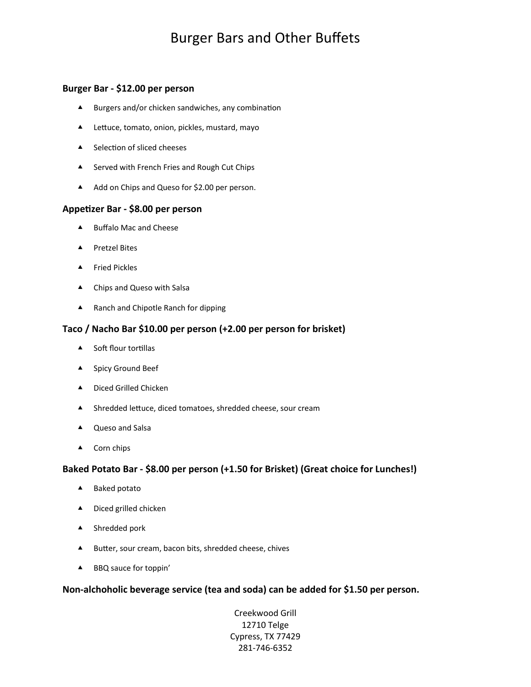# Burger Bars and Other Bufets

## **Burger Bar - \$12.00 per person**

- $\blacktriangle$  Burgers and/or chicken sandwiches, any combination
- ▲ Lettuce, tomato, onion, pickles, mustard, mayo
- $\triangle$  Selection of sliced cheeses
- ▲ Served with French Fries and Rough Cut Chips
- A Add on Chips and Queso for \$2.00 per person.

#### **Appetzer Bar - \$8.00 per person**

- ▲ Buffalo Mac and Cheese
- ▲ Pretzel Bites
- ▲ Fried Pickles
- ▲ Chips and Queso with Salsa
- ▲ Ranch and Chipotle Ranch for dipping

### **Taco / Nacho Bar \$10.00 per person (+2.00 per person for brisket)**

- $\triangle$  Soft flour tortillas
- ▲ Spicy Ground Beef
- ▲ Diced Grilled Chicken
- ▲ Shredded lettuce, diced tomatoes, shredded cheese, sour cream
- ▲ Queso and Salsa
- ▲ Corn chips

#### **Baked Potato Bar - \$8.00 per person (+1.50 for Brisket) (Great choice for Lunches!)**

- ▲ Baked potato
- ▲ Diced grilled chicken
- ▲ Shredded pork
- ▲ Butter, sour cream, bacon bits, shredded cheese, chives
- ▲ BBQ sauce for toppin'

### **Non-alchoholic beverage service (tea and soda) can be added for \$1.50 per person.**

Creekwood Grill 12710 Telge Cypress, TX 77429 281-746-6352